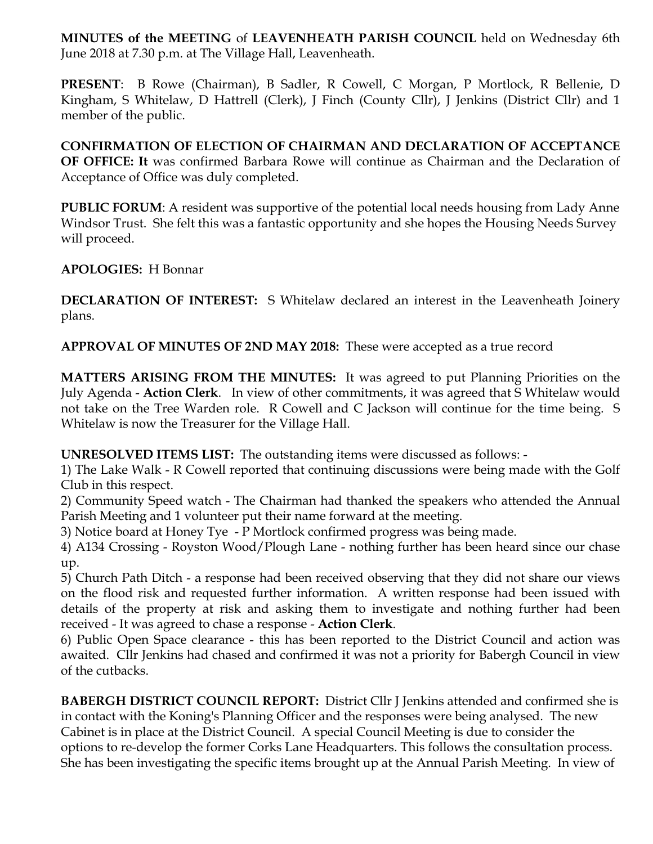**MINUTES of the MEETING** of **LEAVENHEATH PARISH COUNCIL** held on Wednesday 6th June 2018 at 7.30 p.m. at The Village Hall, Leavenheath.

**PRESENT**: B Rowe (Chairman), B Sadler, R Cowell, C Morgan, P Mortlock, R Bellenie, D Kingham, S Whitelaw, D Hattrell (Clerk), J Finch (County Cllr), J Jenkins (District Cllr) and 1 member of the public.

**CONFIRMATION OF ELECTION OF CHAIRMAN AND DECLARATION OF ACCEPTANCE OF OFFICE: It** was confirmed Barbara Rowe will continue as Chairman and the Declaration of Acceptance of Office was duly completed.

**PUBLIC FORUM**: A resident was supportive of the potential local needs housing from Lady Anne Windsor Trust. She felt this was a fantastic opportunity and she hopes the Housing Needs Survey will proceed.

**APOLOGIES:** H Bonnar

**DECLARATION OF INTEREST:** S Whitelaw declared an interest in the Leavenheath Joinery plans.

**APPROVAL OF MINUTES OF 2ND MAY 2018:** These were accepted as a true record

**MATTERS ARISING FROM THE MINUTES:** It was agreed to put Planning Priorities on the July Agenda - **Action Clerk**. In view of other commitments, it was agreed that S Whitelaw would not take on the Tree Warden role. R Cowell and C Jackson will continue for the time being. S Whitelaw is now the Treasurer for the Village Hall.

**UNRESOLVED ITEMS LIST:** The outstanding items were discussed as follows: -

1) The Lake Walk - R Cowell reported that continuing discussions were being made with the Golf Club in this respect.

2) Community Speed watch - The Chairman had thanked the speakers who attended the Annual Parish Meeting and 1 volunteer put their name forward at the meeting.

3) Notice board at Honey Tye - P Mortlock confirmed progress was being made.

4) A134 Crossing - Royston Wood/Plough Lane - nothing further has been heard since our chase up.

5) Church Path Ditch - a response had been received observing that they did not share our views on the flood risk and requested further information. A written response had been issued with details of the property at risk and asking them to investigate and nothing further had been received - It was agreed to chase a response - **Action Clerk**.

6) Public Open Space clearance - this has been reported to the District Council and action was awaited. Cllr Jenkins had chased and confirmed it was not a priority for Babergh Council in view of the cutbacks.

**BABERGH DISTRICT COUNCIL REPORT:** District Cllr J Jenkins attended and confirmed she is in contact with the Koning's Planning Officer and the responses were being analysed. The new Cabinet is in place at the District Council. A special Council Meeting is due to consider the options to re-develop the former Corks Lane Headquarters. This follows the consultation process. She has been investigating the specific items brought up at the Annual Parish Meeting. In view of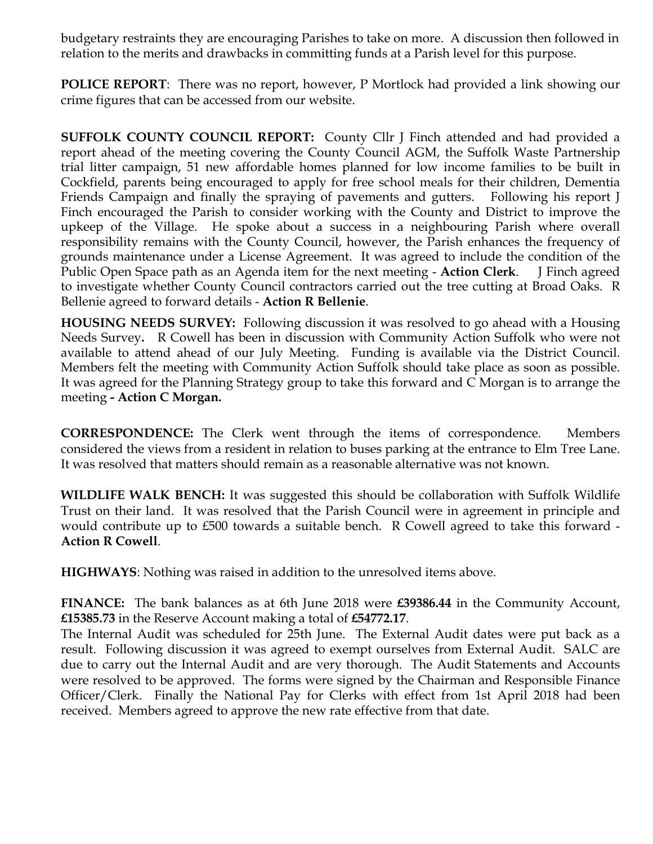budgetary restraints they are encouraging Parishes to take on more. A discussion then followed in relation to the merits and drawbacks in committing funds at a Parish level for this purpose.

**POLICE REPORT**: There was no report, however, P Mortlock had provided a link showing our crime figures that can be accessed from our website.

**SUFFOLK COUNTY COUNCIL REPORT:** County Cllr J Finch attended and had provided a report ahead of the meeting covering the County Council AGM, the Suffolk Waste Partnership trial litter campaign, 51 new affordable homes planned for low income families to be built in Cockfield, parents being encouraged to apply for free school meals for their children, Dementia Friends Campaign and finally the spraying of pavements and gutters. Following his report J Finch encouraged the Parish to consider working with the County and District to improve the upkeep of the Village. He spoke about a success in a neighbouring Parish where overall responsibility remains with the County Council, however, the Parish enhances the frequency of grounds maintenance under a License Agreement. It was agreed to include the condition of the Public Open Space path as an Agenda item for the next meeting - **Action Clerk**. J Finch agreed to investigate whether County Council contractors carried out the tree cutting at Broad Oaks. R Bellenie agreed to forward details - **Action R Bellenie**.

**HOUSING NEEDS SURVEY:** Following discussion it was resolved to go ahead with a Housing Needs Survey**.** R Cowell has been in discussion with Community Action Suffolk who were not available to attend ahead of our July Meeting. Funding is available via the District Council. Members felt the meeting with Community Action Suffolk should take place as soon as possible. It was agreed for the Planning Strategy group to take this forward and C Morgan is to arrange the meeting **- Action C Morgan.** 

**CORRESPONDENCE:** The Clerk went through the items of correspondence. Members considered the views from a resident in relation to buses parking at the entrance to Elm Tree Lane. It was resolved that matters should remain as a reasonable alternative was not known.

**WILDLIFE WALK BENCH:** It was suggested this should be collaboration with Suffolk Wildlife Trust on their land. It was resolved that the Parish Council were in agreement in principle and would contribute up to £500 towards a suitable bench. R Cowell agreed to take this forward - **Action R Cowell**.

**HIGHWAYS**: Nothing was raised in addition to the unresolved items above.

**FINANCE:** The bank balances as at 6th June 2018 were **£39386.44** in the Community Account, **£15385.73** in the Reserve Account making a total of **£54772.17**.

The Internal Audit was scheduled for 25th June. The External Audit dates were put back as a result. Following discussion it was agreed to exempt ourselves from External Audit. SALC are due to carry out the Internal Audit and are very thorough. The Audit Statements and Accounts were resolved to be approved. The forms were signed by the Chairman and Responsible Finance Officer/Clerk. Finally the National Pay for Clerks with effect from 1st April 2018 had been received. Members agreed to approve the new rate effective from that date.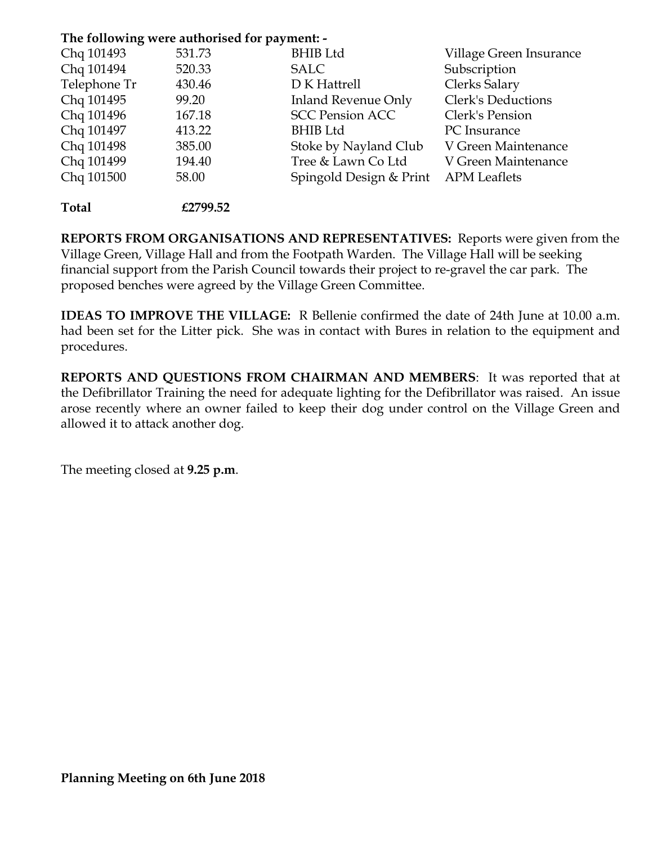## **The following were authorised for payment: -**

| Chq 101493   | 531.73 | <b>BHIB Ltd</b>            | Village Green Insurance |
|--------------|--------|----------------------------|-------------------------|
| Chq 101494   | 520.33 | <b>SALC</b>                | Subscription            |
| Telephone Tr | 430.46 | D K Hattrell               | Clerks Salary           |
| Chq 101495   | 99.20  | <b>Inland Revenue Only</b> | Clerk's Deductions      |
| Chq 101496   | 167.18 | <b>SCC Pension ACC</b>     | Clerk's Pension         |
| Chq 101497   | 413.22 | <b>BHIB Ltd</b>            | PC Insurance            |
| Chq 101498   | 385.00 | Stoke by Nayland Club      | V Green Maintenance     |
| Chq 101499   | 194.40 | Tree & Lawn Co Ltd         | V Green Maintenance     |
| Chq 101500   | 58.00  | Spingold Design & Print    | <b>APM</b> Leaflets     |
|              |        |                            |                         |

**Total £2799.52**

**REPORTS FROM ORGANISATIONS AND REPRESENTATIVES:** Reports were given from the Village Green, Village Hall and from the Footpath Warden. The Village Hall will be seeking financial support from the Parish Council towards their project to re-gravel the car park. The proposed benches were agreed by the Village Green Committee.

**IDEAS TO IMPROVE THE VILLAGE:** R Bellenie confirmed the date of 24th June at 10.00 a.m. had been set for the Litter pick. She was in contact with Bures in relation to the equipment and procedures.

**REPORTS AND QUESTIONS FROM CHAIRMAN AND MEMBERS**: It was reported that at the Defibrillator Training the need for adequate lighting for the Defibrillator was raised. An issue arose recently where an owner failed to keep their dog under control on the Village Green and allowed it to attack another dog.

The meeting closed at **9.25 p.m**.